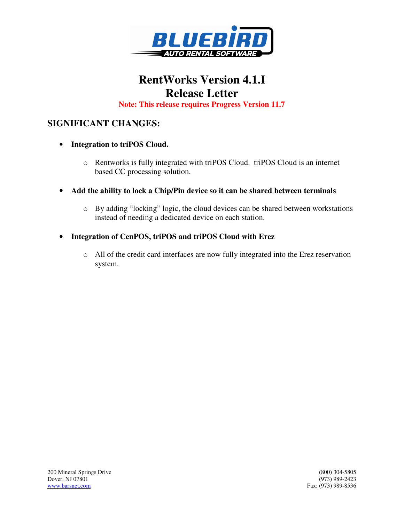

# **RentWorks Version 4.1.I Release Letter**

**Note: This release requires Progress Version 11.7** 

### **SIGNIFICANT CHANGES:**

- **Integration to triPOS Cloud.**
	- o Rentworks is fully integrated with triPOS Cloud. triPOS Cloud is an internet based CC processing solution.
- **Add the ability to lock a Chip/Pin device so it can be shared between terminals**
	- o By adding "locking" logic, the cloud devices can be shared between workstations instead of needing a dedicated device on each station.
- **Integration of CenPOS, triPOS and triPOS Cloud with Erez**
	- o All of the credit card interfaces are now fully integrated into the Erez reservation system.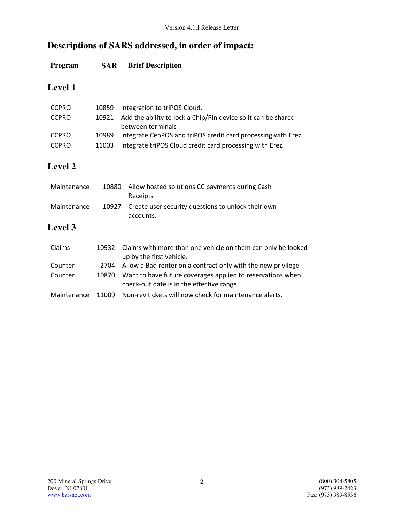## **Descriptions of SARS addressed, in order of impact:**

#### **Program SAR Brief Description**

## **Level 1**

| <b>CCPRO</b> |       | 10859 Integration to triPOS Cloud.                                  |
|--------------|-------|---------------------------------------------------------------------|
| <b>CCPRO</b> |       | 10921 Add the ability to lock a Chip/Pin device so it can be shared |
|              |       | between terminals                                                   |
| <b>CCPRO</b> | 10989 | Integrate CenPOS and triPOS credit card processing with Erez.       |
| <b>CCPRO</b> |       | 11003 Integrate triPOS Cloud credit card processing with Erez.      |

#### **Level 2**

| Maintenance | 10880 | Allow hosted solutions CC payments during Cash<br>Receipts      |
|-------------|-------|-----------------------------------------------------------------|
| Maintenance | 10927 | Create user security questions to unlock their own<br>accounts. |

#### **Level 3**

| Claims      | 10932 | Claims with more than one vehicle on them can only be looked<br>up by the first vehicle.                |
|-------------|-------|---------------------------------------------------------------------------------------------------------|
| Counter     | 2704  | Allow a Bad renter on a contract only with the new privilege                                            |
| Counter     | 10870 | Want to have future coverages applied to reservations when<br>check-out date is in the effective range. |
| Maintenance |       | 11009 Non-rev tickets will now check for maintenance alerts.                                            |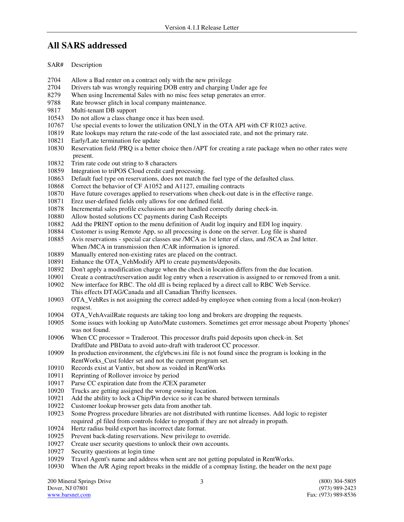#### **All SARS addressed**

- SAR# Description
- 2704 Allow a Bad renter on a contract only with the new privilege
- 2704 Drivers tab was wrongly requiring DOB entry and charging Under age fee
- 8279 When using Incremental Sales with no misc fees setup generates an error.
- 9788 Rate browser glitch in local company maintenance.
- 9817 Multi-tenant DB support
- 10543 Do not allow a class change once it has been used.
- 10767 Use special events to lower the utilization ONLY in the OTA API with CF R1023 active.
- 10819 Rate lookups may return the rate-code of the last associated rate, and not the primary rate.
- 10821 Early/Late termination fee update
- 10830 Reservation field /PRQ is a better choice then /APT for creating a rate package when no other rates were present.
- 10832 Trim rate code out string to 8 characters
- 10859 Integration to triPOS Cloud credit card processing.
- 10863 Default fuel type on reservations, does not match the fuel type of the defaulted class.
- 10868 Correct the behavior of CF A1052 and A1127, emailing contracts
- 10870 Have future coverages applied to reservations when check-out date is in the effective range.
- 10871 Erez user-defined fields only allows for one defined field.
- 10878 Incremental sales profile exclusions are not handled correctly during check-in.
- 10880 Allow hosted solutions CC payments during Cash Receipts
- 10882 Add the PRINT option to the menu definition of Audit log inquiry and EDI log inquiry.
- 10884 Customer is using Remote App, so all processing is done on the server. Log file is shared 10885 Avis reservations special car classes use /MCA as 1st letter of class, and /SCA as 2nd let
- Avis reservations special car classes use /MCA as 1st letter of class, and /SCA as 2nd letter. When /MCA in transmission then /CAR information is ignored.
- 10889 Manually entered non-existing rates are placed on the contract.
- 10891 Enhance the OTA\_VehModify API to create payments/deposits.
- 10892 Don't apply a modification charge when the check-in location differs from the due location.
- 10901 Create a contract/reservation audit log entry when a reservation is assigned to or removed from a unit.
- 10902 New interface for RBC. The old dll is being replaced by a direct call to RBC Web Service.
- This effects DTAG/Canada and all Canadian Thrifty licensees.
- 10903 OTA\_VehRes is not assigning the correct added-by employee when coming from a local (non-broker) request.
- 10904 OTA\_VehAvailRate requests are taking too long and brokers are dropping the requests.
- 10905 Some issues with looking up Auto/Mate customers. Sometimes get error message about Property 'phones' was not found.
- 10906 When CC processor = Traderoot. This processor drafts paid deposits upon check-in. Set DraftDate and PBData to avoid auto-draft with traderoot CC processor.
- 10909 In production environment, the cfg\rbcws.ini file is not found since the program is looking in the RentWorks\_Cust folder set and not the current program set.
- 10910 Records exist at Vantiv, but show as voided in RentWorks
- 10911 Reprinting of Rollover invoice by period
- 10917 Parse CC expiration date from the /CEX parameter
- 10920 Trucks are getting assigned the wrong owning location.
- 10921 Add the ability to lock a Chip/Pin device so it can be shared between terminals
- 10922 Customer lookup browser gets data from another tab.
- 10923 Some Progress procedure libraries are not distributed with runtime licenses. Add logic to register required .pl filed from controls folder to propath if they are not already in propath.
- 10924 Hertz radius build export has incorrect date format.
- 10925 Prevent back-dating reservations. New privilege to override.
- 10927 Create user security questions to unlock their own accounts.
- 10927 Security questions at login time
- 10929 Travel Agent's name and address when sent are not getting populated in RentWorks.
- 10930 When the A/R Aging report breaks in the middle of a compnay listing, the header on the next page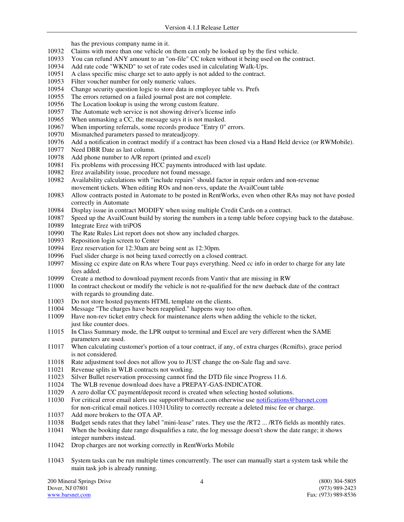has the previous company name in it.

- 10932 Claims with more than one vehicle on them can only be looked up by the first vehicle.
- 10933 You can refund ANY amount to an "on-file" CC token without it being used on the contract.
- 10934 Add rate code "WKND" to set of rate codes used in calculating Walk-Ups.
- 10951 A class specific misc charge set to auto apply is not added to the contract.
- 10953 Filter voucher number for only numeric values.
- 10954 Change security question logic to store data in employee table vs. Prefs
- 10955 The errors returned on a failed journal post are not complete.
- 10956 The Location lookup is using the wrong custom feature.
- 10957 The Automate web service is not showing driver's license info
- 10965 When unmasking a CC, the message says it is not masked.
- 10967 When importing referrals, some records produce "Entry 0" errors.
- 10970 Mismatched parameters passed to mrateadjcopy.
- 10976 Add a notification in contract modify if a contract has been closed via a Hand Held device (or RWMobile).
- 10977 Need DBR Date as last column.
- 10978 Add phone number to A/R report (printed and excel)
- 10981 Fix problems with processing HCC payments introduced with last update.
- 10982 Erez availability issue, procedure not found message.
- 10982 Availability calculations with "include repairs" should factor in repair orders and non-revenue movement tickets. When editing ROs and non-revs, update the AvailCount table
- 10983 Allow contracts posted in Automate to be posted in RentWorks, even when other RAs may not have posted correctly in Automate
- 10984 Display issue in contract MODIFY when using multiple Credit Cards on a contract.
- 10987 Speed up the AvailCount build by storing the numbers in a temp table before copying back to the database.
- 10989 Integrate Erez with triPOS
- 10990 The Rate Rules List report does not show any included charges.
- 10993 Reposition login screen to Center
- 10994 Erez reservation for 12:30am are being sent as 12:30pm.
- 10996 Fuel slider charge is not being taxed correctly on a closed contract.
- 10997 Missing cc expire date on RAs where Tour pays everything. Need cc info in order to charge for any late fees added.
- 10999 Create a method to download payment records from Vantiv that are missing in RW
- 11000 In contract checkout or modify the vehicle is not re-qualified for the new dueback date of the contract with regards to grounding date.
- 11003 Do not store hosted payments HTML template on the clients.
- 11004 Message "The charges have been reapplied." happens way too often.
- 11009 Have non-rev ticket entry check for maintenance alerts when adding the vehicle to the ticket, just like counter does.
- 11015 In Class Summary mode, the LPR output to terminal and Excel are very different when the SAME parameters are used.
- 11017 When calculating customer's portion of a tour contract, if any, of extra charges (Rcmifts), grace period is not considered.
- 11018 Rate adjustment tool does not allow you to JUST change the on-Sale flag and save.
- 11021 Revenue splits in WLB contracts not working.
- 11023 Silver Bullet reservation processing cannot find the DTD file since Progress 11.6.
- 11024 The WLB revenue download does have a PREPAY-GAS-INDICATOR.
- 11029 A zero dollar CC payment/deposit record is created when selecting hosted solutions.
- 11030 For critical error email alerts use support@barsnet.com otherwise use notifications@barsnet.com for non-critical email notices.11031 Utility to correctly recreate a deleted misc fee or charge.
- 11037 Add more brokers to the OTA AP.
- 11038 Budget sends rates that they label "mini-lease" rates. They use the /RT2 ... /RT6 fields as monthly rates.
- 11041 When the booking date range disqualifies a rate, the log message doesn't show the date range; it shows integer numbers instead.
- 11042 Drop charges are not working correctly in RentWorks Mobile
- 11043 System tasks can be run multiple times concurrently. The user can manually start a system task while the main task job is already running.